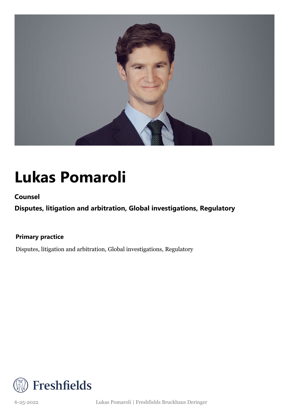

### **Lukas Pomaroli**

**Counsel**

**Disputes, litigation and arbitration, Global investigations, Regulatory**

**Primary practice**

Disputes, litigation and arbitration, Global investigations, Regulatory



6-25-2022 Lukas Pomaroli | Freshfields Bruckhaus Deringer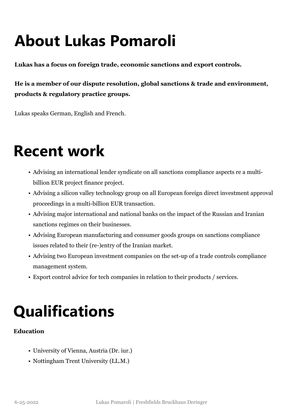## **About Lukas Pomaroli**

**Lukas has a focus on foreign trade, economic sanctions and export controls.**

**He is a member of our dispute resolution, global sanctions & trade and environment, products & regulatory practice groups.** 

Lukas speaks German, English and French.

#### **Recent work**

- Advising an international lender syndicate on all sanctions compliance aspects re a multibillion EUR project finance project.
- Advising a silicon valley technology group on all European foreign direct investment approval proceedings in a multi-billion EUR transaction.
- Advising major international and national banks on the impact of the Russian and Iranian sanctions regimes on their businesses.
- Advising European manufacturing and consumer goods groups on sanctions compliance issues related to their (re-)entry of the Iranian market.
- Advising two European investment companies on the set-up of a trade controls compliance management system.
- Export control advice for tech companies in relation to their products / services.

## **Qualifications**

#### **Education**

- University of Vienna, Austria (Dr. iur.)
- Nottingham Trent University (LL.M.)